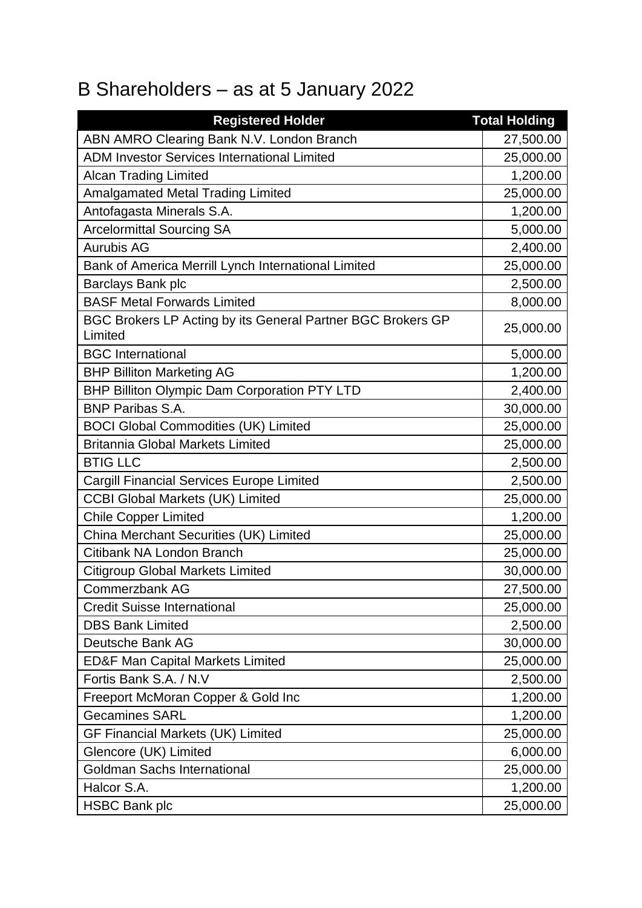## B Shareholders – as at 5 January 2022

| <b>Registered Holder</b>                                               | <b>Total Holding</b> |
|------------------------------------------------------------------------|----------------------|
| ABN AMRO Clearing Bank N.V. London Branch                              | 27,500.00            |
| <b>ADM Investor Services International Limited</b>                     | 25,000.00            |
| <b>Alcan Trading Limited</b>                                           | 1,200.00             |
| <b>Amalgamated Metal Trading Limited</b>                               | 25,000.00            |
| Antofagasta Minerals S.A.                                              | 1,200.00             |
| <b>Arcelormittal Sourcing SA</b>                                       | 5,000.00             |
| <b>Aurubis AG</b>                                                      | 2,400.00             |
| Bank of America Merrill Lynch International Limited                    | 25,000.00            |
| Barclays Bank plc                                                      | 2,500.00             |
| <b>BASF Metal Forwards Limited</b>                                     | 8,000.00             |
| BGC Brokers LP Acting by its General Partner BGC Brokers GP<br>Limited | 25,000.00            |
| <b>BGC</b> International                                               | 5,000.00             |
| <b>BHP Billiton Marketing AG</b>                                       | 1,200.00             |
| BHP Billiton Olympic Dam Corporation PTY LTD                           | 2,400.00             |
| <b>BNP Paribas S.A.</b>                                                | 30,000.00            |
| <b>BOCI Global Commodities (UK) Limited</b>                            | 25,000.00            |
| <b>Britannia Global Markets Limited</b>                                | 25,000.00            |
| <b>BTIG LLC</b>                                                        | 2,500.00             |
| <b>Cargill Financial Services Europe Limited</b>                       | 2,500.00             |
| <b>CCBI Global Markets (UK) Limited</b>                                | 25,000.00            |
| <b>Chile Copper Limited</b>                                            | 1,200.00             |
| China Merchant Securities (UK) Limited                                 | 25,000.00            |
| Citibank NA London Branch                                              | 25,000.00            |
| <b>Citigroup Global Markets Limited</b>                                | 30,000.00            |
| Commerzbank AG                                                         | 27,500.00            |
| <b>Credit Suisse International</b>                                     | 25,000.00            |
| <b>DBS Bank Limited</b>                                                | 2,500.00             |
| Deutsche Bank AG                                                       | 30,000.00            |
| <b>ED&amp;F Man Capital Markets Limited</b>                            | 25,000.00            |
| Fortis Bank S.A. / N.V                                                 | 2,500.00             |
| Freeport McMoran Copper & Gold Inc                                     | 1,200.00             |
| <b>Gecamines SARL</b>                                                  | 1,200.00             |
| <b>GF Financial Markets (UK) Limited</b>                               | 25,000.00            |
| Glencore (UK) Limited                                                  | 6,000.00             |
| <b>Goldman Sachs International</b>                                     | 25,000.00            |
| Halcor S.A.                                                            | 1,200.00             |
| <b>HSBC Bank plc</b>                                                   | 25,000.00            |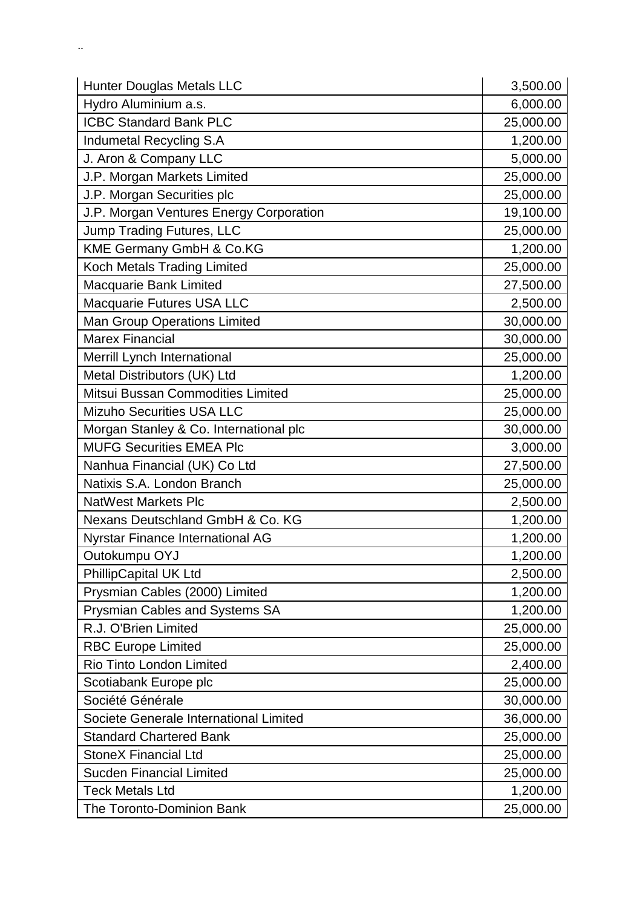| <b>Hunter Douglas Metals LLC</b>        | 3,500.00  |
|-----------------------------------------|-----------|
| Hydro Aluminium a.s.                    | 6,000.00  |
| <b>ICBC Standard Bank PLC</b>           | 25,000.00 |
| Indumetal Recycling S.A                 | 1,200.00  |
| J. Aron & Company LLC                   | 5,000.00  |
| J.P. Morgan Markets Limited             | 25,000.00 |
| J.P. Morgan Securities plc              | 25,000.00 |
| J.P. Morgan Ventures Energy Corporation | 19,100.00 |
| Jump Trading Futures, LLC               | 25,000.00 |
| KME Germany GmbH & Co.KG                | 1,200.00  |
| Koch Metals Trading Limited             | 25,000.00 |
| Macquarie Bank Limited                  | 27,500.00 |
| Macquarie Futures USA LLC               | 2,500.00  |
| <b>Man Group Operations Limited</b>     | 30,000.00 |
| <b>Marex Financial</b>                  | 30,000.00 |
| Merrill Lynch International             | 25,000.00 |
| Metal Distributors (UK) Ltd             | 1,200.00  |
| Mitsui Bussan Commodities Limited       | 25,000.00 |
| <b>Mizuho Securities USA LLC</b>        | 25,000.00 |
| Morgan Stanley & Co. International plc  | 30,000.00 |
| <b>MUFG Securities EMEA Plc</b>         | 3,000.00  |
| Nanhua Financial (UK) Co Ltd            | 27,500.00 |
| Natixis S.A. London Branch              | 25,000.00 |
| <b>NatWest Markets Plc</b>              | 2,500.00  |
| Nexans Deutschland GmbH & Co. KG        | 1,200.00  |
| <b>Nyrstar Finance International AG</b> | 1,200.00  |
| Outokumpu OYJ                           | 1,200.00  |
| <b>PhillipCapital UK Ltd</b>            | 2,500.00  |
| Prysmian Cables (2000) Limited          | 1,200.00  |
| Prysmian Cables and Systems SA          | 1,200.00  |
| R.J. O'Brien Limited                    | 25,000.00 |
| <b>RBC Europe Limited</b>               | 25,000.00 |
| Rio Tinto London Limited                | 2,400.00  |
| Scotiabank Europe plc                   | 25,000.00 |
| Société Générale                        | 30,000.00 |
| Societe Generale International Limited  | 36,000.00 |
| <b>Standard Chartered Bank</b>          | 25,000.00 |
| <b>StoneX Financial Ltd</b>             | 25,000.00 |
| <b>Sucden Financial Limited</b>         | 25,000.00 |
| <b>Teck Metals Ltd</b>                  | 1,200.00  |
| The Toronto-Dominion Bank               | 25,000.00 |

. <br> <br> . <br> <br> <br> <br> <br>  $\label{eq:4} \alpha_{\rm{max}} = 1.5$